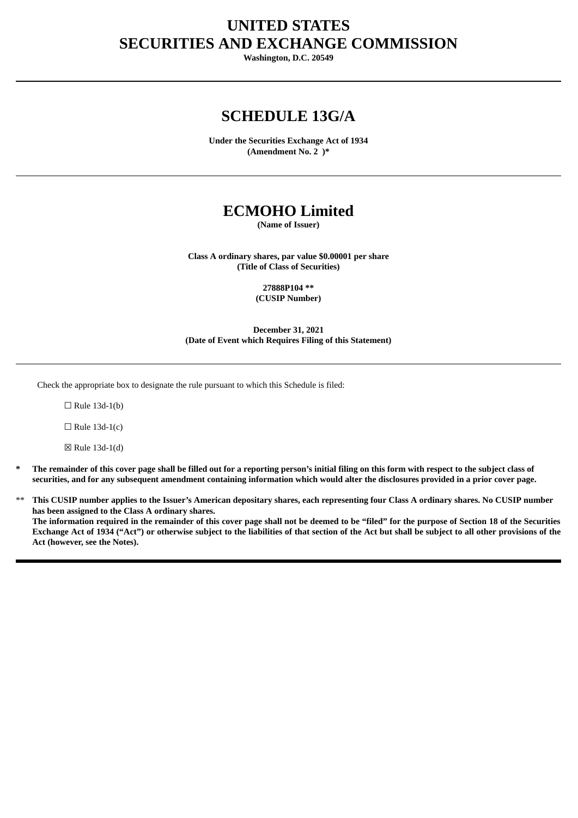# **UNITED STATES SECURITIES AND EXCHANGE COMMISSION**

**Washington, D.C. 20549**

# **SCHEDULE 13G/A**

**Under the Securities Exchange Act of 1934 (Amendment No. 2 )\***

# **ECMOHO Limited**

**(Name of Issuer)**

**Class A ordinary shares, par value \$0.00001 per share (Title of Class of Securities)**

> **27888P104 \*\* (CUSIP Number)**

**December 31, 2021 (Date of Event which Requires Filing of this Statement)**

Check the appropriate box to designate the rule pursuant to which this Schedule is filed:

 $\Box$  Rule 13d-1(b)

 $\Box$  Rule 13d-1(c)

☒ Rule 13d-1(d)

- The remainder of this cover page shall be filled out for a reporting person's initial filing on this form with respect to the subject class of securities, and for any subsequent amendment containing information which would alter the disclosures provided in a prior cover page.
- This CUSIP number applies to the Issuer's American depositary shares, each representing four Class A ordinary shares. No CUSIP number **has been assigned to the Class A ordinary shares.** The information required in the remainder of this cover page shall not be deemed to be "filed" for the purpose of Section 18 of the Securities Exchange Act of 1934 ("Act") or otherwise subject to the liabilities of that section of the Act but shall be subject to all other provisions of the **Act (however, see the Notes).**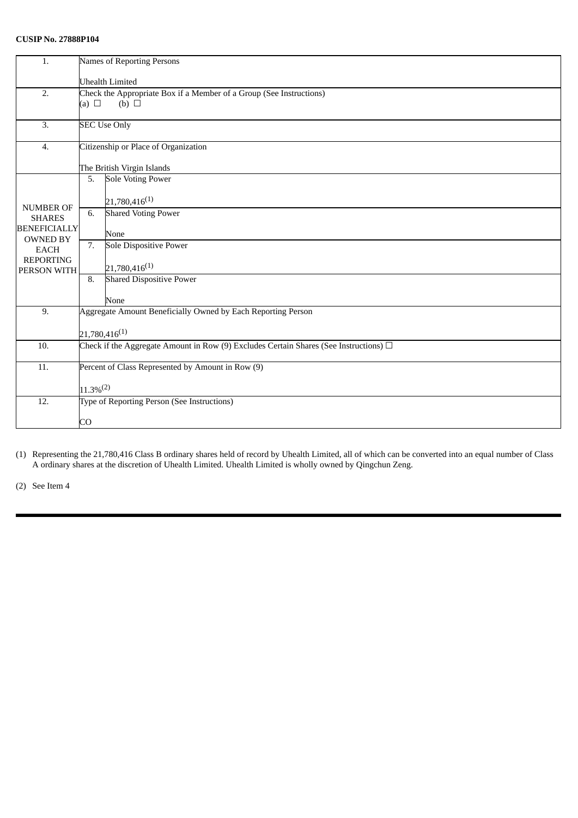# **CUSIP No. 27888P104**

| 1.                                     | Names of Reporting Persons                                                                              |
|----------------------------------------|---------------------------------------------------------------------------------------------------------|
|                                        | <b>Uhealth Limited</b>                                                                                  |
| 2.                                     | Check the Appropriate Box if a Member of a Group (See Instructions)<br>(a) $\square$<br>$(b)$ $\square$ |
| 3.                                     | <b>SEC Use Only</b>                                                                                     |
| 4.                                     | Citizenship or Place of Organization                                                                    |
|                                        | The British Virgin Islands                                                                              |
| NUMBER OF<br><b>SHARES</b>             | <b>Sole Voting Power</b><br>5.                                                                          |
|                                        | $21,780,416^{(1)}$                                                                                      |
|                                        | <b>Shared Voting Power</b><br>6.                                                                        |
| <b>BENEFICIALLY</b><br><b>OWNED BY</b> | None                                                                                                    |
| <b>EACH</b>                            | 7.<br><b>Sole Dispositive Power</b>                                                                     |
| <b>REPORTING</b><br>PERSON WITH        | $21,780,416^{(1)}$                                                                                      |
|                                        | <b>Shared Dispositive Power</b><br>8.                                                                   |
|                                        | None                                                                                                    |
| 9.                                     | Aggregate Amount Beneficially Owned by Each Reporting Person                                            |
|                                        | $21,780,416^{(1)}$                                                                                      |
| 10.                                    | Check if the Aggregate Amount in Row (9) Excludes Certain Shares (See Instructions) $\Box$              |
| 11.                                    | Percent of Class Represented by Amount in Row (9)                                                       |
|                                        | $11.3\%^{(2)}$                                                                                          |
| 12.                                    | Type of Reporting Person (See Instructions)                                                             |
|                                        | CO                                                                                                      |

(1) Representing the 21,780,416 Class B ordinary shares held of record by Uhealth Limited, all of which can be converted into an equal number of Class A ordinary shares at the discretion of Uhealth Limited. Uhealth Limited is wholly owned by Qingchun Zeng.

(2) See Item 4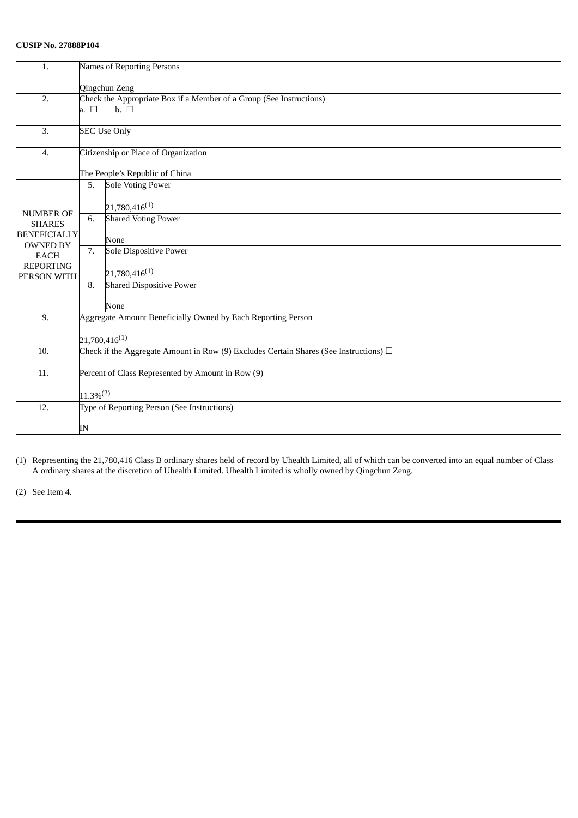# **CUSIP No. 27888P104**

| 1.                                                       | Names of Reporting Persons                                                                 |
|----------------------------------------------------------|--------------------------------------------------------------------------------------------|
|                                                          | Qingchun Zeng                                                                              |
| 2.                                                       | Check the Appropriate Box if a Member of a Group (See Instructions)                        |
|                                                          | a. $\square$<br>$\mathbf{b}$ . $\Box$                                                      |
| $\overline{3}$ .                                         | <b>SEC Use Only</b>                                                                        |
| 4.                                                       | Citizenship or Place of Organization                                                       |
|                                                          | The People's Republic of China                                                             |
| <b>NUMBER OF</b><br><b>SHARES</b><br><b>BENEFICIALLY</b> | <b>Sole Voting Power</b><br>5.                                                             |
|                                                          | $21,780,416^{(1)}$                                                                         |
|                                                          | <b>Shared Voting Power</b><br>6.                                                           |
|                                                          | None                                                                                       |
| <b>OWNED BY</b><br><b>EACH</b>                           | 7.<br>Sole Dispositive Power                                                               |
| <b>REPORTING</b><br>PERSON WITH                          | $21,780,416^{(1)}$                                                                         |
|                                                          | <b>Shared Dispositive Power</b><br>8.                                                      |
|                                                          | None                                                                                       |
| 9.                                                       | Aggregate Amount Beneficially Owned by Each Reporting Person                               |
|                                                          | $21,780,416^{(1)}$                                                                         |
| 10.                                                      | Check if the Aggregate Amount in Row (9) Excludes Certain Shares (See Instructions) $\Box$ |
| $\overline{11}$ .                                        | Percent of Class Represented by Amount in Row (9)                                          |
|                                                          | $11.3\%^{(2)}$                                                                             |
| $\overline{12}$ .                                        | Type of Reporting Person (See Instructions)                                                |
|                                                          | IN                                                                                         |
|                                                          |                                                                                            |

(1) Representing the 21,780,416 Class B ordinary shares held of record by Uhealth Limited, all of which can be converted into an equal number of Class A ordinary shares at the discretion of Uhealth Limited. Uhealth Limited is wholly owned by Qingchun Zeng.

(2) See Item 4.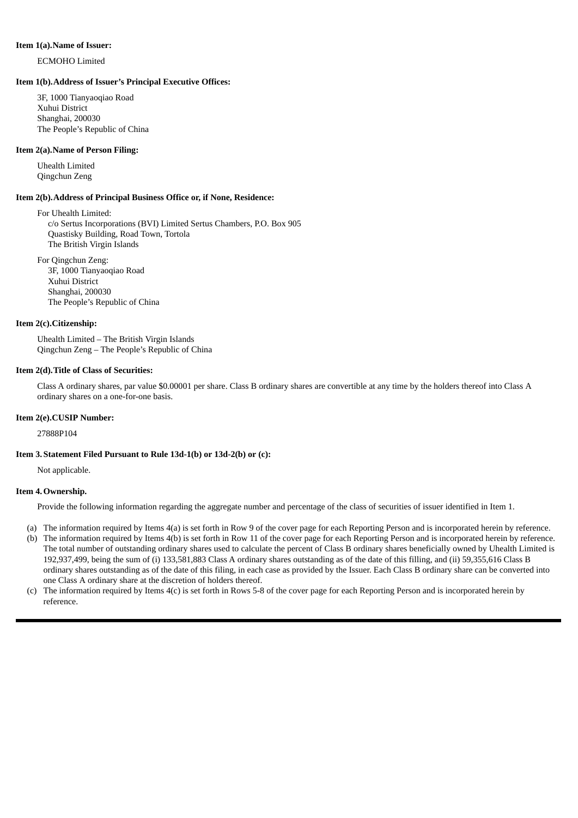#### **Item 1(a).Name of Issuer:**

ECMOHO Limited

#### **Item 1(b).Address of Issuer's Principal Executive Offices:**

3F, 1000 Tianyaoqiao Road Xuhui District Shanghai, 200030 The People's Republic of China

#### **Item 2(a).Name of Person Filing:**

Uhealth Limited Qingchun Zeng

#### **Item 2(b).Address of Principal Business Office or, if None, Residence:**

For Uhealth Limited: c/o Sertus Incorporations (BVI) Limited Sertus Chambers, P.O. Box 905 Quastisky Building, Road Town, Tortola The British Virgin Islands

For Qingchun Zeng: 3F, 1000 Tianyaoqiao Road Xuhui District Shanghai, 200030 The People's Republic of China

#### **Item 2(c).Citizenship:**

Uhealth Limited – The British Virgin Islands Qingchun Zeng – The People's Republic of China

#### **Item 2(d).Title of Class of Securities:**

Class A ordinary shares, par value \$0.00001 per share. Class B ordinary shares are convertible at any time by the holders thereof into Class A ordinary shares on a one-for-one basis.

#### **Item 2(e).CUSIP Number:**

27888P104

#### **Item 3. Statement Filed Pursuant to Rule 13d-1(b) or 13d-2(b) or (c):**

Not applicable.

#### **Item 4.Ownership.**

Provide the following information regarding the aggregate number and percentage of the class of securities of issuer identified in Item 1.

- (a) The information required by Items 4(a) is set forth in Row 9 of the cover page for each Reporting Person and is incorporated herein by reference.
- (b) The information required by Items 4(b) is set forth in Row 11 of the cover page for each Reporting Person and is incorporated herein by reference. The total number of outstanding ordinary shares used to calculate the percent of Class B ordinary shares beneficially owned by Uhealth Limited is 192,937,499, being the sum of (i) 133,581,883 Class A ordinary shares outstanding as of the date of this filling, and (ii) 59,355,616 Class B ordinary shares outstanding as of the date of this filing, in each case as provided by the Issuer. Each Class B ordinary share can be converted into one Class A ordinary share at the discretion of holders thereof.
- (c) The information required by Items 4(c) is set forth in Rows 5-8 of the cover page for each Reporting Person and is incorporated herein by reference.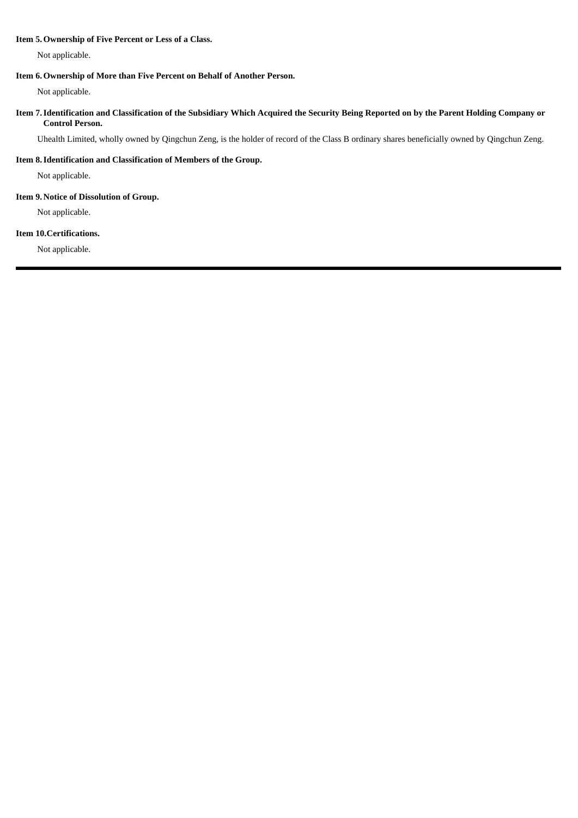#### **Item 5.Ownership of Five Percent or Less of a Class.**

Not applicable.

## **Item 6.Ownership of More than Five Percent on Behalf of Another Person.**

Not applicable.

# Item 7. Identification and Classification of the Subsidiary Which Acquired the Security Being Reported on by the Parent Holding Company or **Control Person.**

Uhealth Limited, wholly owned by Qingchun Zeng, is the holder of record of the Class B ordinary shares beneficially owned by Qingchun Zeng.

# **Item 8.Identification and Classification of Members of the Group.**

Not applicable.

### **Item 9. Notice of Dissolution of Group.**

Not applicable.

### **Item 10.Certifications.**

Not applicable.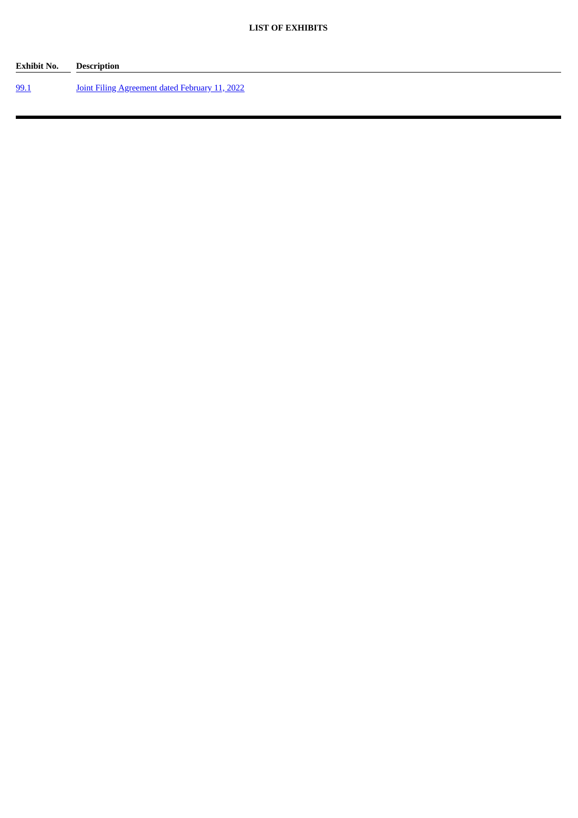| Exhibit No. | Description                                           |
|-------------|-------------------------------------------------------|
| 99.1        | <b>Joint Filing Agreement dated February 11, 2022</b> |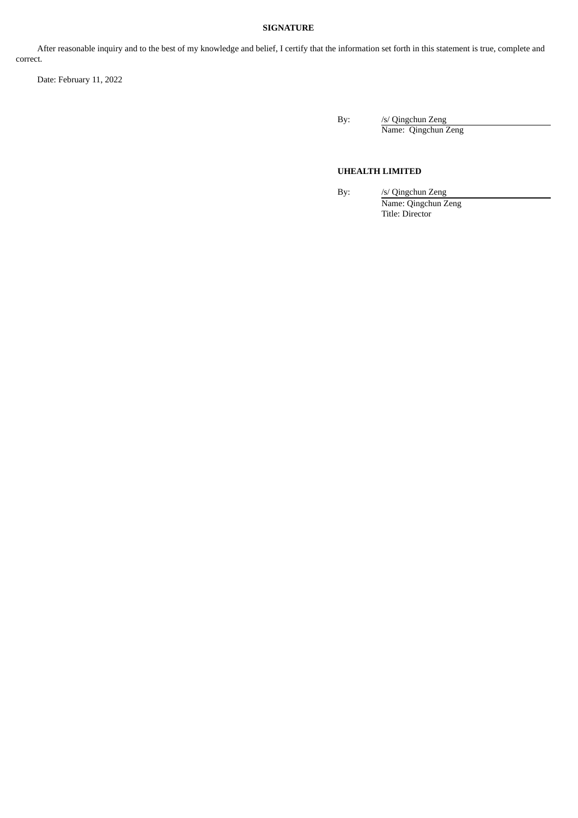# **SIGNATURE**

After reasonable inquiry and to the best of my knowledge and belief, I certify that the information set forth in this statement is true, complete and correct.

Date: February 11, 2022

By: /s/ Qingchun Zeng Name: Qingchun Zeng

### **UHEALTH LIMITED**

By: /s/ Qingchun Zeng Name: Qingchun Zeng Title: Director